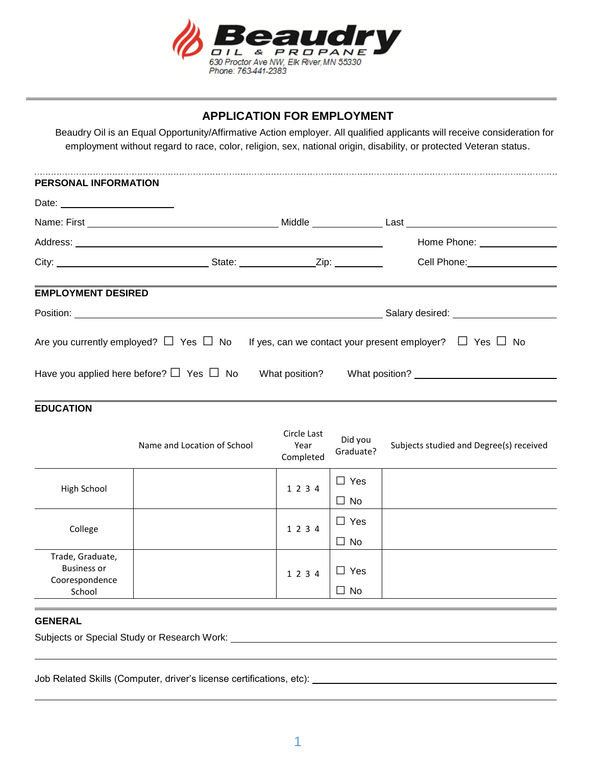

## **APPLICATION FOR EMPLOYMENT**

 Beaudry Oil is an Equal Opportunity/Affirmative Action employer. All qualified applicants will receive consideration for employment without regard to race, color, religion, sex, national origin, disability, or protected Veteran status.

| PERSONAL INFORMATION                                                                                                |                                                                                                                                                                                                                                |
|---------------------------------------------------------------------------------------------------------------------|--------------------------------------------------------------------------------------------------------------------------------------------------------------------------------------------------------------------------------|
|                                                                                                                     |                                                                                                                                                                                                                                |
|                                                                                                                     |                                                                                                                                                                                                                                |
|                                                                                                                     | Home Phone: <u>________________</u>                                                                                                                                                                                            |
|                                                                                                                     | Cell Phone: The Contract of the Contract of the Contract of the Contract of the Contract of the Contract of the Contract of the Contract of the Contract of the Contract of the Contract of the Contract of the Contract of th |
| <b>EMPLOYMENT DESIRED</b>                                                                                           | Salary desired: National Contract of Salary desired:                                                                                                                                                                           |
| Are you currently employed? $\Box$ Yes $\Box$ No If yes, can we contact your present employer? $\Box$ Yes $\Box$ No |                                                                                                                                                                                                                                |
| Have you applied here before? $\Box$ Yes $\Box$ No What position? What position?                                    |                                                                                                                                                                                                                                |

## **EDUCATION**

|                                                          | Name and Location of School | Circle Last<br>Year<br>Completed | Did you<br>Graduate? | Subjects studied and Degree(s) received |
|----------------------------------------------------------|-----------------------------|----------------------------------|----------------------|-----------------------------------------|
| High School                                              |                             | 1 2 3 4                          | $\Box$ Yes           |                                         |
|                                                          |                             |                                  | $\Box$ No            |                                         |
| College                                                  |                             | 1 2 3 4                          | $\Box$ Yes           |                                         |
|                                                          |                             |                                  | $\Box$ No            |                                         |
| Trade, Graduate,<br><b>Business or</b><br>Coorespondence |                             | 1 2 3 4                          | Yes<br>$\sim$        |                                         |
| School                                                   |                             |                                  | $\Box$ No            |                                         |

## **GENERAL**

Subjects or Special Study or Research Work:

Job Related Skills (Computer, driver's license certifications, etc):